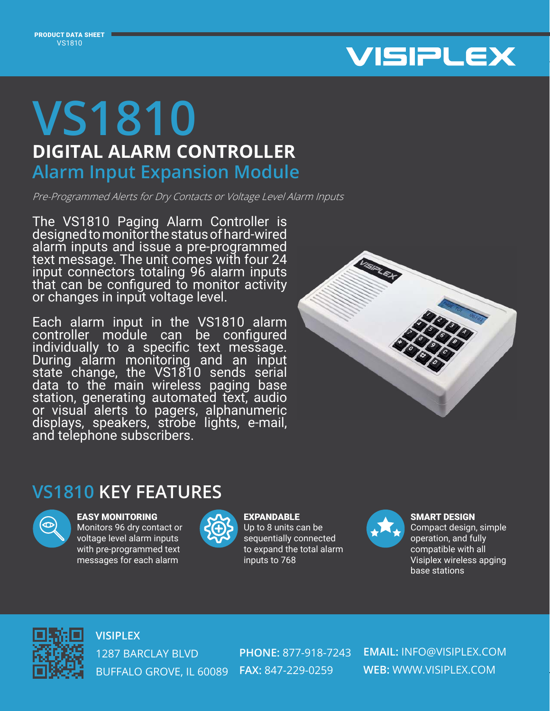

## **DIGITAL ALARM CONTROLLER VS1810 Alarm Input Expansion Module**

Pre-Programmed Alerts for Dry Contacts or Voltage Level Alarm Inputs

The VS1810 Paging Alarm Controller is designed to monitor the status of hard-wired alarm inputs and issue a pre-programmed text message. The unit comes with four 24 input connectors totaling 96 alarm inputs that can be configured to monitor activity or changes in input voltage level.

Each alarm input in the VS1810 alarm controller module can be configured individually to a specific text message. During alarm monitoring and an input state change, the VS1810 sends serial data to the main wireless paging base station, generating automated text, audio or visual alerts to pagers, alphanumeric displays, speakers, strobe lights, e-mail, and telephone subscribers.



## **VS1810 KEY FEATURES**



EASY MONITORING

Monitors 96 dry contact or voltage level alarm inputs with pre-programmed text messages for each alarm



**EXPANDABLE** Up to 8 units can be sequentially connected to expand the total alarm inputs to 768



SMART DESIGN Compact design, simple operation, and fully

compatible with all Visiplex wireless apging base stations



**VISIPLEX** 1287 BARCLAY BLVD BUFFALO GROVE, IL 60089 **FAX:** 847-229-0259

**PHONE:** 877-918-7243

**EMAIL:** INFO@VISIPLEX.COM **WEB:** WWW.VISIPLEX.COM